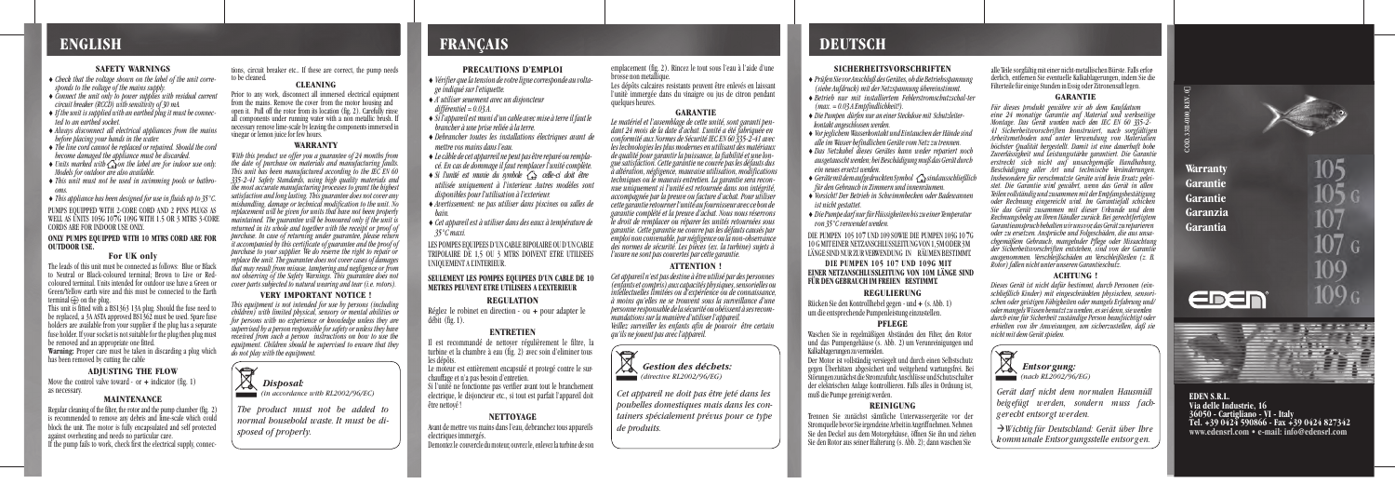alle Teile sorgfältig mit einer nicht-metallischen Bürste. Falls erforderlich, entfernen Sie eventuelle Kalkablagerungen, indem Sie die Filterteile für einige Stunden in Essig oder Zitronensaft legen.

#### **GARANTIE**

um die entsprechende Pumpenleistung einzustellen. Rücken Sie den Kontrollhebel gegen - und + (s. Abb. 1)

#### **ACHTUNG !**

*Dieses Gerät ist nicht dafür bestimmt, durch Personen (einschließlich Kinder) mit eingeschränkten physischen, sensorischen oder geistigen Fähigkeiten oder mangels Erfahrung und/ oder mangels Wissen benutzt zu werden, es sei denn, sie werden durch eine für Sicherheit zuständige Person beaufsichtigt oder erhielten von ihr Anweisungen, um sicherzustellen, daß sie nicht mit dem Gerät spielen.*

Les dépôts calcaires resistants peuvent être enlevés en laissant l'unitè immergée dans du vinaigre ou jus de citron pendant quelques heures.

### **SICHERHEITSVORSCHRIFTEN**

♦ *Prüfen Sie vor Anschluß des Gerätes, ob die Betriebsspannung (siehe Aufdruck) mit der Netzspannung übereinstimmt.*

- ♦ *Betrieb nur mit installiertem Fehlerstromschutzschal-ter*
- *(max. = 0.03 A Empfindlichkeit!).*
- ♦ *Die Pumpen dürfen nur an einer Steckdose mit Schutzleiterkontakt angeschlossen werden.*
- ♦ *Vor jeglichem Wasserkontakt und Eintauchen der Hände sind alle im Wasser befindlichen Geräte vom Netz zu trennen.*
- ♦ *Das Netzkabel dieses Gerätes kann weder repariert noch ausgetauscht werden; bei Beschädigung muß das Gerät durch ein neues ersetzt werden.*
- ♦ *Geräte mit dem aufgedruckten Symbol sind ausschließlich für den Gebrauch in Zimmern und innenräumen.*
- ♦ *Vorsicht! Der Betrieb in Schwimmbecken oder Badewannen ist nicht gestattet.*
- ♦ *Die Pumpe darf nur für Flüssigkeiten bis zu einer Temperatur von 35°C verwendet werden.*

#### **REGULIERUNG**

#### **PFLEGE**

Der Motor ist vollständig versiegelt und durch einen Selbstschutz gegen Überhitzen abgesichert und weitgehend wartungsfrei. Bei Störungen zunächst die Stromzufuhr, Anschlüsse und Schutzschalter der elektrischen Anlage kontrollieren. Falls alles in Ordnung ist, muß die Pumpe gereinigt werden.

#### **REINIGUNG**

#### **GARANTIE**

*Le matériel et l'assemblage de cette unité, sont garanti pen*dant 24 mois de la date d'achat. Lunité a été fabriquée en *conformité aux Normes de Sécurité IEC EN 60 335-2-41 avec les technologies les plus modernes en utilisant des matériaux de qualité pour garantir la puissance, la fiabilité et une longue satisfaction. Cette garantie ne couvre pas les défauts dus à altération, négligence, mauvaise utilisation, modifications techniques ou le mauvais entretien. La garantie sera reconnue uniquement si l'unité est retournée dans son intégrité, accompagnée par la preuve ou facture d'achat. Pour utiliser cette garantie retourner l'unité au fournisseur avec ce bon de garantie complété et la preuve d'achat. Nous nous réservons le droit de remplacer ou réparer les unités retournées sous garantie. Cette garantie ne couvre pas les défauts causés par emploi non convenable, par négligence ou la non-observance des normes de sécurité. Les pièces (ex. la turbine) sujets à l'usure ne sont pas couvertes par cette garantie.*

#### **ATTENTION !**

PUMPS EQUIPPED WITH 2-CORE CORD AND 2 PINS PLUGS AS CORDS ARE FOR INDOOR USE ONLY. WELL AS UNITS 105G 107G 109G WITH 1.5 OR 3 MTRS 3-CORE

The leads of this unit must be connected as follows: Blue or Black to Neutral or Black-coloured terminal; Brown to Live or Redcoloured terminal. Units intended for outdoor use have a Green or Green/Yellow earth wire and this must be connected to the Earth terminal  $\oplus$  on the plug.

*Cet appareil n'est pas destine à être utilisé par des personnes (enfants et compris) aux capacités physiques, sensorielles ou intellectuelles limitées ou d'expérience ou de connaissance, à moins qu'elles ne se trouvent sous la surveillance d'une personne responsable de la sécurité ou obéissent à ses recommandations sur la manière d'utiliser l'appareil. Veillez surveiller les enfants afin de pouvoir être certain qu'ils ne jouent pas avec l'appareil.*



#### **PRECAUTIONS D'EMPLOI**

- ♦ *Vérifier que la tension de votre ligne corresponde au voltage indiqué sur l'etiquette.*
- ♦ *A' utiliser seuement avec un disjoncteur différentiel = 0.03 A.*
- ♦ *Si l'appareil est muni d'un cable avec mise à terre il faut le brancher à une prise reliée à la terre.*
- ♦ *Debrancher toutes les installations électriques avant de mettre vos mains dans l'eau.*
- ♦ *Le câble de cet apparreil ne peut pas être reparé ou remplacé. En cas de dommage il faut remplacer l'unité complète.*
- ♦ *Si l'unité est munie du symbole celle-ci doit être utilisée uniquement à l'interieur. Autres modèles sont disponibles pour l'utilisation à l'exterieur.*
- ♦ *Avertissement: ne pas utiliser dans piscines ou salles de bain.*
- ♦ *Cet appareil est à utiliser dans des eaux à température de 35°C maxi.*

brosse non metallique. emplacement (fig. 2). Rincez le tout sous l'eau à l'aide d'une

LES POMPES EQUIPEES D'UN CABLE BIPOLAIRE OU D'UN CABLE TRIPOLAIRE DE 1.5 OU 3 MTRS DOIVENT ETRE UTILISEES UNIQUEMENT A L'INTERIEUR.

Prior to any work, disconnect all immersed electrical equipment all components under running water with a non metallic brush. If necessary remove lime-scale by leaving the components immersed in vinegar or lemon juice for few hours. open it. Pull off the rotor from its location (fig. 2). Carefully rinse from the mains. Remove the cover from the motor housing and

> **SEULEMENT LES POMPES EQUIPEES D'UN CABLE DE 10 METRES PEUVENT ETRE UTILISEES A L'EXTERIEUR**

#### **REGULATION**

### **ENTRETIEN**

Il est recommandé de nettoyer régulièrement le filtre, la turbine et la chambre à eau (fig. 2) avec soin d'eliminer tous les dépôts.

Le moteur est entièrement encapsulé et protegé contre le surchauffage et n'a pas besoin d'entretien.

*eine 24 monatige Garantie auf Material und werkseitige Montage. Das Gerät wurden nach den IEC EN 60 335-2- 41 Sicherheitsvorschriften konstruiert, nach sorgfältigen Arbeitsmethoden und unter Verwendung von Materialien höchster Qualität hergestellt. Damit ist eine dauerhaft hohe Zuverlässigkeit und Leistungsstärke garantiert. Die Garantie erstreckt sich nicht auf unsachgemäße Handhabung, Beschädigung aller Art und technische Veränderungen. Insbesondere für verschmutzte Geräte wird kein Ersatz geleistet. Die Garantie wird gewährt, wenn das Gerät in allen Teilen vollständig und zusammen mit der Empfangsbestätigung oder Rechnung eingereicht wird. Im Garantiefall schicken Sie das Gerät zusammen mit dieser Urkunde und dem Rechnungsbeleg an Ihren Händler zurück. Bei gerechtfertigtem Garantieanspruch behalten wir uns vor, das Gerät zu reparieren oder zu ersetzen. Ansprüche und Folgeschäden, die aus unsachgemäßem Gebrauch, mangelnder Pflege oder Missachtung der Sicherheitsvorschriften entstehen, sind von der Garantie ausgenommen. Verschleißschäden an Verschleißteilen (z. B. Rotor) fallen nicht unter unseren Garantieschutz. Für dieses produkt gewähre wir ab dem Kaufdatum* 

Si l'unité ne fonctionne pas verifier avant tout le branchement electrique, le disjoncteur etc., si tout est parfait l'appareil doit être nettoyé !

#### **NETTOYAGE**

tions, circuit breaker etc.. If these are correct, the pump needs to be cleaned.

# **CLEANING**

#### **WARRANTY**

#### **EINER NETZANSCHLUSSLEITUNG VON 10M LÄNGE SIND FÜR DEN GEBRAUCH IM FREIEN BESTIMMT. DIE PUMPEN 105 107 UND 109G MIT**

Waschen Sie in regelmäßigen Abständen den Filter, den Rotor Kalkablagerungen zu vermeiden. und das Pumpengehäuse (s. Abb. 2) um Verunreinigungen und

*With this product we offer you a guarantee of 24 months from the date of purchase on materials and manufacturing faults. This unit has been manufactured according to the IEC EN 60 335-2-41 Safety Standards, using high quality materials and the most accurate manufacturing processes to grant the highest satisfaction and long lasting. This guarantee does not cover any mishandling, damage or technical modification to the unit. No replacement will be given for units that have not been properly maintained. The guarantee will be honoured only if the unit is returned in its whole and together with the receipt or proof of purchase. In case of returning under guarantee, please return it accompanied by this certificate of guarantee and the proof of purchase to your supplier. We do reserve the right to repair or replace the unit. The guarantee does not cover cases of damages that may result from misuse, tampering and negligence or from not observing of the Safety Warnings. This guarantee does not cover parts subjected to natural wearing and tear (i.e. rotors).*

> Trennen Sie zunächst sämtliche Unterwassergeräte vor der Stromquelle bevor Sie irgendeine Arbeit in Angriff nehmen. Nehmen Sie den Rotor aus seiner Halterung (s. Abb. 2); dann waschen Sie Sie den Deckel aus dem Motorgehäuse, öffnen Sie ihn und ziehen

# **VERY IMPORTANT NOTICE !**

*This equipment is not intended for use by persons (including children) with limited physical, sensory or mental abilities or for persons with no experience or knowledge unless they are supervised by a person responsible for safety or unless they have received from such a person instructions on how to use the equipment. Children should be supervised to ensure that they do not play with the equipment.*

#### **SAFETY WARNINGS**

- ♦ *Check that the voltage shown on the label of the unit corresponds to the voltage of the mains supply.*
- ♦ *Connect the unit only to power supplies with residual current circuit breaker (RCCD) with sensitivity of 30 mA.*
- ♦ *If the unit is supplied with an earthed plug it must be connected to an earthed socket.*
- ♦ *Always disconnect all electrical appliances from the mains before placing your hands in the water.*
- ♦ *The line cord cannot be replaced or repaired. Should the cord become damaged the appliance must be discarded.*
- ♦ *Units marked with on the label are for indoor use only. Models for outdoor are also available.*
- ♦ *This unit must not be used in swimming pools or bathro-*
- *oms.* ♦ *This appliance has been designed for use in fluids up to 35°C.*

débit (fig. 1). Réglez le robinet en direction - ou **+** pour adapter le

Avant de mettre vos mains dans l'eau, debranchez tous appareils electriques immergés. Demontez le couvercle du moteur, ouvrez le, enlevez la turbine de son

#### **ONLY PUMPS EQUIPPED WITH 10 MTRS CORD ARE FOR OUTDOOR USE.**

### **For UK only**

This unit is fitted with a BS1363 13A plug. Should the fuse need to be replaced, a 3A ASTA approved BS1362 must be used. Spare fuse holders are available from your supplier if the plug has a separate fuse holder. If your socket is not suitable for the plug then plug must be removed and an appropriate one fitted.

**Warning:** Proper care must be taken in discarding a plug which has been removed by cutting the cable

### **ADJUSTING THE FLOW**

### **MAINTENANCE**

Regular cleaning of the filter, the rotor and the pump chamber (fig. 2) is recommended to remove any debris and lime-scale which could block the unit. The motor is fully encapsulated and self protected against overheating and needs no particular care. If the pump fails to work, check first the electrical supply, connec *Gestion des déchets: (directive RL2002/96/EG)*

*Cet appareil ne doit pas être jeté dans les poubelles domestiques mais dans les containers spécialement prévus pour ce type de produits.*

 *Entsorgung: (nach RL2002/96/EG)*

as necessary. Move the control valve toward - or **+** indicator (fig. 1)

*gerecht entsorgt werden.*

*Wichtig für Deutschland: Gerät über Ihre kommunale Entsorgungsstelle entsorgen.*



*normal household waste. It must be disposed of properly.*

*Gerät darf nicht dem normalen Hausmüll beigefügt werden, sondern muss fach-*



107 G MIT EINER NETZANSCHLUSSLEITUNG VON 1,5M ODER 3M DIE PUMPEN 105 107**7** UND 109 SOWIE DIE PUMPEN 105G 10**7**G LÄNGE SIND NUR ZUR VERWENDUNG IN RÄUMEN BESTIMMT.

# **ENGLISH FRANÇAIS DEUTSCH**